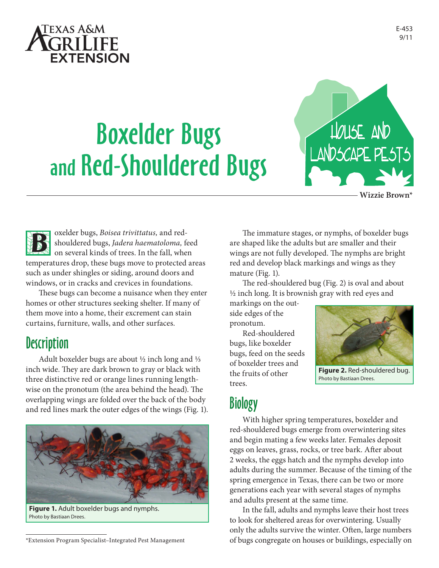

# Boxelder Bugs and Red-Shouldered Bugs



**Wizzie Brown\***



oxelder bugs, *Boisea trivittatus,* and redshouldered bugs, *Jadera haematoloma,* feed on several kinds of trees. In the fall, when temperatures drop, these bugs move to protected areas such as under shingles or siding, around doors and

windows, or in cracks and crevices in foundations. These bugs can become a nuisance when they enter homes or other structures seeking shelter. If many of them move into a home, their excrement can stain curtains, furniture, walls, and other surfaces.

#### **Description**

Adult boxelder bugs are about  $\frac{1}{2}$  inch long and  $\frac{1}{3}$ inch wide. They are dark brown to gray or black with three distinctive red or orange lines running lengthwise on the pronotum (the area behind the head). The overlapping wings are folded over the back of the body and red lines mark the outer edges of the wings (Fig. 1).



**Figure 1.** Adult boxelder bugs and nymphs. Photo by Bastiaan Drees.

The immature stages, or nymphs, of boxelder bugs are shaped like the adults but are smaller and their wings are not fully developed. The nymphs are bright red and develop black markings and wings as they mature (Fig. 1).

The red-shouldered bug (Fig. 2) is oval and about 1/2 inch long. It is brownish gray with red eyes and

markings on the outside edges of the pronotum.

Red-shouldered bugs, like boxelder bugs, feed on the seeds of boxelder trees and the fruits of other trees.



**Figure 2.** Red-shouldered bug. Photo by Bastiaan Drees.

## Biology

With higher spring temperatures, boxelder and red-shouldered bugs emerge from overwintering sites and begin mating a few weeks later. Females deposit eggs on leaves, grass, rocks, or tree bark. After about 2 weeks, the eggs hatch and the nymphs develop into adults during the summer. Because of the timing of the spring emergence in Texas, there can be two or more generations each year with several stages of nymphs and adults present at the same time.

In the fall, adults and nymphs leave their host trees to look for sheltered areas for overwintering. Usually only the adults survive the winter. Often, large numbers of bugs congregate on houses or buildings, especially on